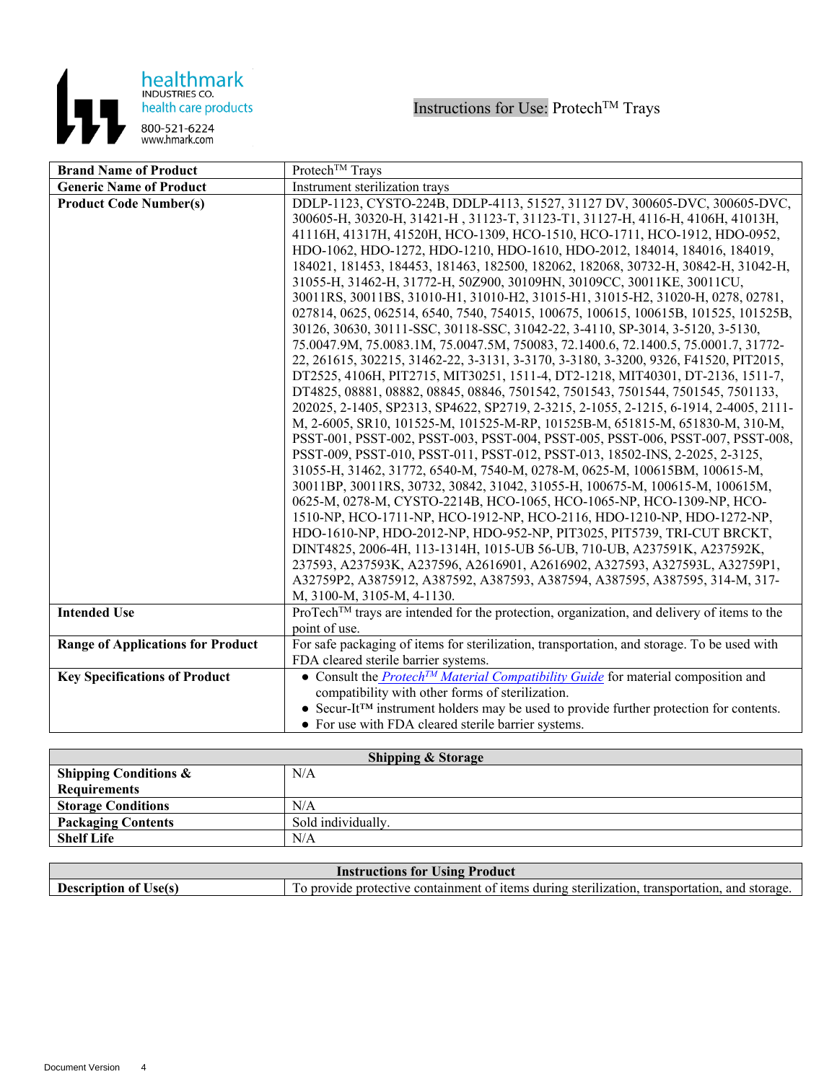

| <b>Brand Name of Product</b>             | Protech™ Trays                                                                                      |
|------------------------------------------|-----------------------------------------------------------------------------------------------------|
| <b>Generic Name of Product</b>           | Instrument sterilization trays                                                                      |
| <b>Product Code Number(s)</b>            | DDLP-1123, CYSTO-224B, DDLP-4113, 51527, 31127 DV, 300605-DVC, 300605-DVC,                          |
|                                          | 300605-H, 30320-H, 31421-H, 31123-T, 31123-T1, 31127-H, 4116-H, 4106H, 41013H,                      |
|                                          | 41116H, 41317H, 41520H, HCO-1309, HCO-1510, HCO-1711, HCO-1912, HDO-0952,                           |
|                                          | HDO-1062, HDO-1272, HDO-1210, HDO-1610, HDO-2012, 184014, 184016, 184019,                           |
|                                          | 184021, 181453, 184453, 181463, 182500, 182062, 182068, 30732-H, 30842-H, 31042-H,                  |
|                                          | 31055-H, 31462-H, 31772-H, 50Z900, 30109HN, 30109CC, 30011KE, 30011CU,                              |
|                                          | 30011RS, 30011BS, 31010-H1, 31010-H2, 31015-H1, 31015-H2, 31020-H, 0278, 02781,                     |
|                                          | 027814, 0625, 062514, 6540, 7540, 754015, 100675, 100615, 100615B, 101525, 101525B,                 |
|                                          | 30126, 30630, 30111-SSC, 30118-SSC, 31042-22, 3-4110, SP-3014, 3-5120, 3-5130,                      |
|                                          | 75.0047.9M, 75.0083.1M, 75.0047.5M, 750083, 72.1400.6, 72.1400.5, 75.0001.7, 31772-                 |
|                                          | 22, 261615, 302215, 31462-22, 3-3131, 3-3170, 3-3180, 3-3200, 9326, F41520, PIT2015,                |
|                                          | DT2525, 4106H, PIT2715, MIT30251, 1511-4, DT2-1218, MIT40301, DT-2136, 1511-7,                      |
|                                          | DT4825, 08881, 08882, 08845, 08846, 7501542, 7501543, 7501544, 7501545, 7501133,                    |
|                                          | 202025, 2-1405, SP2313, SP4622, SP2719, 2-3215, 2-1055, 2-1215, 6-1914, 2-4005, 2111-               |
|                                          | M, 2-6005, SR10, 101525-M, 101525-M-RP, 101525B-M, 651815-M, 651830-M, 310-M,                       |
|                                          | PSST-001, PSST-002, PSST-003, PSST-004, PSST-005, PSST-006, PSST-007, PSST-008,                     |
|                                          | PSST-009, PSST-010, PSST-011, PSST-012, PSST-013, 18502-INS, 2-2025, 2-3125,                        |
|                                          | 31055-H, 31462, 31772, 6540-M, 7540-M, 0278-M, 0625-M, 100615BM, 100615-M,                          |
|                                          | 30011BP, 30011RS, 30732, 30842, 31042, 31055-H, 100675-M, 100615-M, 100615M,                        |
|                                          | 0625-M, 0278-M, CYSTO-2214B, HCO-1065, HCO-1065-NP, HCO-1309-NP, HCO-                               |
|                                          | 1510-NP, HCO-1711-NP, HCO-1912-NP, HCO-2116, HDO-1210-NP, HDO-1272-NP,                              |
|                                          | HDO-1610-NP, HDO-2012-NP, HDO-952-NP, PIT3025, PIT5739, TRI-CUT BRCKT,                              |
|                                          | DINT4825, 2006-4H, 113-1314H, 1015-UB 56-UB, 710-UB, A237591K, A237592K,                            |
|                                          | 237593, A237593K, A237596, A2616901, A2616902, A327593, A327593L, A32759P1,                         |
|                                          | A32759P2, A3875912, A387592, A387593, A387594, A387595, A387595, 314-M, 317-                        |
|                                          | M, 3100-M, 3105-M, 4-1130.                                                                          |
| <b>Intended Use</b>                      | ProTech™ trays are intended for the protection, organization, and delivery of items to the          |
|                                          | point of use.                                                                                       |
| <b>Range of Applications for Product</b> | For safe packaging of items for sterilization, transportation, and storage. To be used with         |
|                                          | FDA cleared sterile barrier systems.                                                                |
| <b>Key Specifications of Product</b>     | • Consult the <i>Protech<sup>TM</sup> Material Compatibility Guide</i> for material composition and |
|                                          | compatibility with other forms of sterilization.                                                    |
|                                          | • Secur-It <sup>TM</sup> instrument holders may be used to provide further protection for contents. |
|                                          | • For use with FDA cleared sterile barrier systems.                                                 |

| <b>Shipping &amp; Storage</b>    |                    |
|----------------------------------|--------------------|
| <b>Shipping Conditions &amp;</b> | N/A                |
| <b>Requirements</b>              |                    |
| <b>Storage Conditions</b>        | N/A                |
| <b>Packaging Contents</b>        | Sold individually. |
| <b>Shelf Life</b>                | N/A                |

| <b>Instructions for Using Product</b> |                                                                                               |
|---------------------------------------|-----------------------------------------------------------------------------------------------|
| <b>Description of Use(s)</b>          | To provide protective containment of items during sterilization, transportation, and storage. |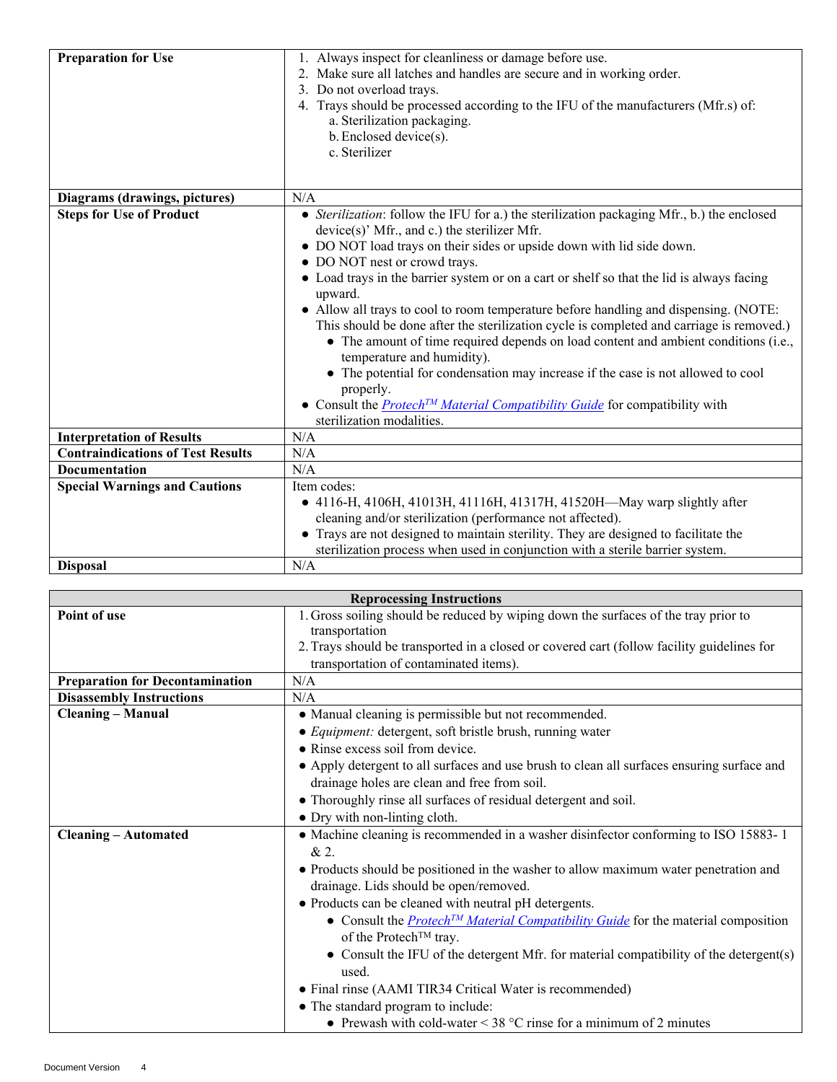| <b>Preparation for Use</b>               | 1. Always inspect for cleanliness or damage before use.<br>2. Make sure all latches and handles are secure and in working order.<br>3. Do not overload trays.<br>4. Trays should be processed according to the IFU of the manufacturers (Mfr.s) of:<br>a. Sterilization packaging.<br>b. Enclosed device(s).<br>c. Sterilizer                                                                                                                                                                                                                                                                                                                                                                                                                                                                                                                                                                           |
|------------------------------------------|---------------------------------------------------------------------------------------------------------------------------------------------------------------------------------------------------------------------------------------------------------------------------------------------------------------------------------------------------------------------------------------------------------------------------------------------------------------------------------------------------------------------------------------------------------------------------------------------------------------------------------------------------------------------------------------------------------------------------------------------------------------------------------------------------------------------------------------------------------------------------------------------------------|
| Diagrams (drawings, pictures)            | N/A                                                                                                                                                                                                                                                                                                                                                                                                                                                                                                                                                                                                                                                                                                                                                                                                                                                                                                     |
| <b>Steps for Use of Product</b>          | • Sterilization: follow the IFU for a.) the sterilization packaging Mfr., b.) the enclosed<br>$device(s)$ ' Mfr., and c.) the sterilizer Mfr.<br>• DO NOT load trays on their sides or upside down with lid side down.<br>• DO NOT nest or crowd trays.<br>• Load trays in the barrier system or on a cart or shelf so that the lid is always facing<br>upward.<br>• Allow all trays to cool to room temperature before handling and dispensing. (NOTE:<br>This should be done after the sterilization cycle is completed and carriage is removed.)<br>• The amount of time required depends on load content and ambient conditions (i.e.,<br>temperature and humidity).<br>• The potential for condensation may increase if the case is not allowed to cool<br>properly.<br>• Consult the <b>Protech<sup>TM</sup></b> Material Compatibility Guide for compatibility with<br>sterilization modalities. |
| <b>Interpretation of Results</b>         | N/A                                                                                                                                                                                                                                                                                                                                                                                                                                                                                                                                                                                                                                                                                                                                                                                                                                                                                                     |
| <b>Contraindications of Test Results</b> | N/A                                                                                                                                                                                                                                                                                                                                                                                                                                                                                                                                                                                                                                                                                                                                                                                                                                                                                                     |
| <b>Documentation</b>                     | N/A                                                                                                                                                                                                                                                                                                                                                                                                                                                                                                                                                                                                                                                                                                                                                                                                                                                                                                     |
| <b>Special Warnings and Cautions</b>     | Item codes:<br>• 4116-H, 4106H, 41013H, 41116H, 41317H, 41520H-May warp slightly after<br>cleaning and/or sterilization (performance not affected).<br>• Trays are not designed to maintain sterility. They are designed to facilitate the<br>sterilization process when used in conjunction with a sterile barrier system.                                                                                                                                                                                                                                                                                                                                                                                                                                                                                                                                                                             |
| <b>Disposal</b>                          | N/A                                                                                                                                                                                                                                                                                                                                                                                                                                                                                                                                                                                                                                                                                                                                                                                                                                                                                                     |

| <b>Reprocessing Instructions</b>       |                                                                                                     |
|----------------------------------------|-----------------------------------------------------------------------------------------------------|
| Point of use                           | 1. Gross soiling should be reduced by wiping down the surfaces of the tray prior to                 |
|                                        | transportation                                                                                      |
|                                        | 2. Trays should be transported in a closed or covered cart (follow facility guidelines for          |
|                                        | transportation of contaminated items).                                                              |
| <b>Preparation for Decontamination</b> | N/A                                                                                                 |
| <b>Disassembly Instructions</b>        | N/A                                                                                                 |
| <b>Cleaning – Manual</b>               | • Manual cleaning is permissible but not recommended.                                               |
|                                        | • Equipment: detergent, soft bristle brush, running water                                           |
|                                        | • Rinse excess soil from device.                                                                    |
|                                        | • Apply detergent to all surfaces and use brush to clean all surfaces ensuring surface and          |
|                                        | drainage holes are clean and free from soil.                                                        |
|                                        | • Thoroughly rinse all surfaces of residual detergent and soil.                                     |
|                                        | • Dry with non-linting cloth.                                                                       |
| <b>Cleaning - Automated</b>            | • Machine cleaning is recommended in a washer disinfector conforming to ISO 15883-1                 |
|                                        | & 2.                                                                                                |
|                                        | • Products should be positioned in the washer to allow maximum water penetration and                |
|                                        | drainage. Lids should be open/removed.                                                              |
|                                        | • Products can be cleaned with neutral pH detergents.                                               |
|                                        | • Consult the <b>Protech<sup>TM</sup></b> Material Compatibility Guide for the material composition |
|                                        | of the Protech™ tray.                                                                               |
|                                        | • Consult the IFU of the detergent Mfr. for material compatibility of the detergent(s)              |
|                                        | used.                                                                                               |
|                                        | • Final rinse (AAMI TIR34 Critical Water is recommended)                                            |
|                                        | • The standard program to include:                                                                  |
|                                        | • Prewash with cold-water < $38 \degree$ C rinse for a minimum of 2 minutes                         |